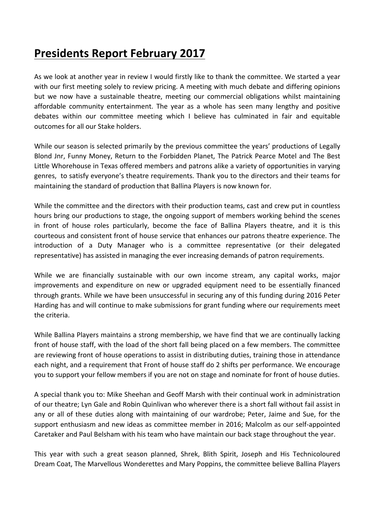## **Presidents Report February 2017**

As we look at another year in review I would firstly like to thank the committee. We started a year with our first meeting solely to review pricing. A meeting with much debate and differing opinions but we now have a sustainable theatre, meeting our commercial obligations whilst maintaining affordable community entertainment. The year as a whole has seen many lengthy and positive debates within our committee meeting which I believe has culminated in fair and equitable outcomes for all our Stake holders.

While our season is selected primarily by the previous committee the years' productions of Legally Blond Jnr, Funny Money, Return to the Forbidden Planet, The Patrick Pearce Motel and The Best Little Whorehouse in Texas offered members and patrons alike a variety of opportunities in varying genres, to satisfy everyone's theatre requirements. Thank you to the directors and their teams for maintaining the standard of production that Ballina Players is now known for.

While the committee and the directors with their production teams, cast and crew put in countless hours bring our productions to stage, the ongoing support of members working behind the scenes in front of house roles particularly, become the face of Ballina Players theatre, and it is this courteous and consistent front of house service that enhances our patrons theatre experience. The introduction of a Duty Manager who is a committee representative (or their delegated representative) has assisted in managing the ever increasing demands of patron requirements.

While we are financially sustainable with our own income stream, any capital works, major improvements and expenditure on new or upgraded equipment need to be essentially financed through grants. While we have been unsuccessful in securing any of this funding during 2016 Peter Harding has and will continue to make submissions for grant funding where our requirements meet the criteria.

While Ballina Players maintains a strong membership, we have find that we are continually lacking front of house staff, with the load of the short fall being placed on a few members. The committee are reviewing front of house operations to assist in distributing duties, training those in attendance each night, and a requirement that Front of house staff do 2 shifts per performance. We encourage you to support your fellow members if you are not on stage and nominate for front of house duties.

A special thank you to: Mike Sheehan and Geoff Marsh with their continual work in administration of our theatre; Lyn Gale and Robin Quinlivan who wherever there is a short fall without fail assist in any or all of these duties along with maintaining of our wardrobe; Peter, Jaime and Sue, for the support enthusiasm and new ideas as committee member in 2016; Malcolm as our self-appointed Caretaker and Paul Belsham with his team who have maintain our back stage throughout the year.

This year with such a great season planned, Shrek, Blith Spirit, Joseph and His Technicoloured Dream Coat, The Marvellous Wonderettes and Mary Poppins, the committee believe Ballina Players